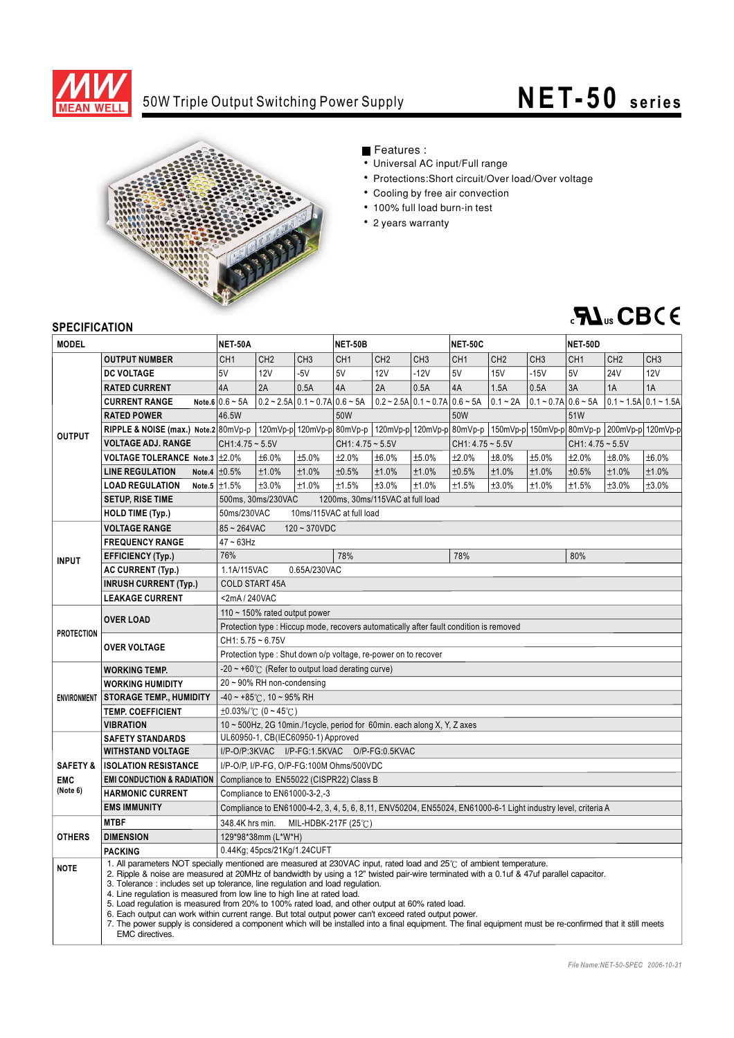

## 50W Triple Output Switching Power Supply

# **NET-50** series



## Features :

- Universal AC input/Full range
- Protections:Short circuit/Over load/Over voltage
- Cooling by free air convection
- 100% full load burn-in test
- 2 years warranty

## **RA**<sub>us</sub> CBCE

### **SPECIFICATION**

| יוטו וסטו ווטבו וט<br><b>MODEL</b> |                                                                                                                                                                                                                                                                                                                                                                                                                                                                                                                                                                                                                                                                                                                                                                                                                            | <b>NET-50A</b>                                                                                                |                                                                                                   |                                                         | <b>NET-50B</b>          |                 |                                                | <b>NET-50C</b>          |                                                                                                 |                                      | <b>NET-50D</b>          |                  |                 |  |
|------------------------------------|----------------------------------------------------------------------------------------------------------------------------------------------------------------------------------------------------------------------------------------------------------------------------------------------------------------------------------------------------------------------------------------------------------------------------------------------------------------------------------------------------------------------------------------------------------------------------------------------------------------------------------------------------------------------------------------------------------------------------------------------------------------------------------------------------------------------------|---------------------------------------------------------------------------------------------------------------|---------------------------------------------------------------------------------------------------|---------------------------------------------------------|-------------------------|-----------------|------------------------------------------------|-------------------------|-------------------------------------------------------------------------------------------------|--------------------------------------|-------------------------|------------------|-----------------|--|
|                                    |                                                                                                                                                                                                                                                                                                                                                                                                                                                                                                                                                                                                                                                                                                                                                                                                                            |                                                                                                               |                                                                                                   |                                                         |                         |                 |                                                |                         |                                                                                                 |                                      |                         |                  |                 |  |
| <b>OUTPUT</b>                      | <b>OUTPUT NUMBER</b>                                                                                                                                                                                                                                                                                                                                                                                                                                                                                                                                                                                                                                                                                                                                                                                                       | CH <sub>1</sub><br>5V                                                                                         | CH <sub>2</sub><br><b>12V</b>                                                                     | CH <sub>3</sub><br>$-5V$                                | CH <sub>1</sub><br>5V   | CH <sub>2</sub> | CH <sub>3</sub><br>$-12V$                      | CH <sub>1</sub><br>5V   | CH <sub>2</sub>                                                                                 | CH <sub>3</sub>                      | CH <sub>1</sub><br>5V   | CH <sub>2</sub>  | CH <sub>3</sub> |  |
|                                    | <b>DC VOLTAGE</b>                                                                                                                                                                                                                                                                                                                                                                                                                                                                                                                                                                                                                                                                                                                                                                                                          | 4A                                                                                                            | 2A                                                                                                | 0.5A                                                    | 4A                      | 12V<br>2A       | 0.5A                                           | 4A                      | <b>15V</b><br>1.5A                                                                              | $-15V$<br>0.5A                       | 3A                      | <b>24V</b><br>1A | 12V<br>1A       |  |
|                                    | <b>RATED CURRENT</b>                                                                                                                                                                                                                                                                                                                                                                                                                                                                                                                                                                                                                                                                                                                                                                                                       | Note.6 $0.6 \sim 5A$                                                                                          |                                                                                                   |                                                         |                         |                 |                                                |                         |                                                                                                 |                                      |                         |                  |                 |  |
|                                    | <b>CURRENT RANGE</b>                                                                                                                                                                                                                                                                                                                                                                                                                                                                                                                                                                                                                                                                                                                                                                                                       | $0.2 \sim 2.5$ A $0.1 \sim 0.7$ A $0.6 \sim 5$ A                                                              |                                                                                                   | $0.2 \sim 2.5$ A $0.1 \sim 0.7$ A $0.6 \sim 5$ A<br>50W |                         |                 | $0.1 - 2A$<br>$0.1 - 0.7$ A $0.6 - 5$ A<br>50W |                         |                                                                                                 | $ 0.1 - 1.5$ A $ 0.1 - 1.5$ A<br>51W |                         |                  |                 |  |
|                                    | <b>RATED POWER</b>                                                                                                                                                                                                                                                                                                                                                                                                                                                                                                                                                                                                                                                                                                                                                                                                         | 46.5W                                                                                                         |                                                                                                   |                                                         |                         |                 |                                                |                         | 120mVp-p 120mVp-p 80mVp-p 120mVp-p 120mVp-p 80mVp-p 150mVp-p 150mVp-p 80mVp-p 200mVp-p 120mVp-p |                                      |                         |                  |                 |  |
|                                    | RIPPLE & NOISE (max.) Note.2 80mVp-p<br><b>VOLTAGE ADJ. RANGE</b>                                                                                                                                                                                                                                                                                                                                                                                                                                                                                                                                                                                                                                                                                                                                                          | $CH1:4.75 \sim 5.5V$                                                                                          |                                                                                                   |                                                         | $CH1: 4.75 - 5.5V$      |                 |                                                | $CH1: 4.75 - 5.5V$      |                                                                                                 |                                      | $CH1: 4.75 - 5.5V$      |                  |                 |  |
|                                    | VOLTAGE TOLERANCE Note.3   ±2.0%                                                                                                                                                                                                                                                                                                                                                                                                                                                                                                                                                                                                                                                                                                                                                                                           | ±6.0%<br>±5.0%                                                                                                |                                                                                                   |                                                         | ±2.0%<br>±6.0%<br>±5.0% |                 |                                                | ±2.0%<br>±8.0%<br>±5.0% |                                                                                                 |                                      | ±2.0%<br>±6.0%<br>±8.0% |                  |                 |  |
|                                    | <b>LINE REGULATION</b>                                                                                                                                                                                                                                                                                                                                                                                                                                                                                                                                                                                                                                                                                                                                                                                                     | Note.4 $\pm 0.5\%$                                                                                            | ±1.0%                                                                                             | ±1.0%                                                   | ±0.5%                   | ±1.0%           | ±1.0%                                          | ±0.5%                   | ±1.0%                                                                                           | ±1.0%                                | ±0.5%                   | ±1.0%            | ±1.0%           |  |
|                                    | <b>LOAD REGULATION</b>                                                                                                                                                                                                                                                                                                                                                                                                                                                                                                                                                                                                                                                                                                                                                                                                     | Note.5 $\pm 1.5\%$                                                                                            | ±3.0%                                                                                             | ±1.0%                                                   | ±1.5%                   | ±3.0%           | ±1.0%                                          | ±1.5%                   | ±3.0%                                                                                           | ±1.0%                                | ±1.5%                   | ±3.0%            | ±3.0%           |  |
|                                    | <b>SETUP, RISE TIME</b>                                                                                                                                                                                                                                                                                                                                                                                                                                                                                                                                                                                                                                                                                                                                                                                                    |                                                                                                               |                                                                                                   |                                                         |                         |                 |                                                |                         |                                                                                                 |                                      |                         |                  |                 |  |
|                                    | <b>HOLD TIME (Typ.)</b>                                                                                                                                                                                                                                                                                                                                                                                                                                                                                                                                                                                                                                                                                                                                                                                                    |                                                                                                               | 500ms, 30ms/230VAC<br>1200ms, 30ms/115VAC at full load<br>50ms/230VAC<br>10ms/115VAC at full load |                                                         |                         |                 |                                                |                         |                                                                                                 |                                      |                         |                  |                 |  |
|                                    | <b>VOLTAGE RANGE</b>                                                                                                                                                                                                                                                                                                                                                                                                                                                                                                                                                                                                                                                                                                                                                                                                       | 85~264VAC<br>$120 - 370VDC$                                                                                   |                                                                                                   |                                                         |                         |                 |                                                |                         |                                                                                                 |                                      |                         |                  |                 |  |
| <b>INPUT</b>                       | <b>FREQUENCY RANGE</b>                                                                                                                                                                                                                                                                                                                                                                                                                                                                                                                                                                                                                                                                                                                                                                                                     | $47 - 63$ Hz                                                                                                  |                                                                                                   |                                                         |                         |                 |                                                |                         |                                                                                                 |                                      |                         |                  |                 |  |
|                                    | <b>EFFICIENCY (Typ.)</b>                                                                                                                                                                                                                                                                                                                                                                                                                                                                                                                                                                                                                                                                                                                                                                                                   | 76%                                                                                                           |                                                                                                   |                                                         | 78%                     |                 |                                                | 78%                     |                                                                                                 |                                      | 80%                     |                  |                 |  |
|                                    | <b>AC CURRENT (Typ.)</b>                                                                                                                                                                                                                                                                                                                                                                                                                                                                                                                                                                                                                                                                                                                                                                                                   | 1.1A/115VAC                                                                                                   |                                                                                                   | 0.65A/230VAC                                            |                         |                 |                                                |                         |                                                                                                 |                                      |                         |                  |                 |  |
|                                    | <b>INRUSH CURRENT (Typ.)</b>                                                                                                                                                                                                                                                                                                                                                                                                                                                                                                                                                                                                                                                                                                                                                                                               | <b>COLD START 45A</b>                                                                                         |                                                                                                   |                                                         |                         |                 |                                                |                         |                                                                                                 |                                      |                         |                  |                 |  |
|                                    | <b>LEAKAGE CURRENT</b>                                                                                                                                                                                                                                                                                                                                                                                                                                                                                                                                                                                                                                                                                                                                                                                                     |                                                                                                               | <2mA/240VAC                                                                                       |                                                         |                         |                 |                                                |                         |                                                                                                 |                                      |                         |                  |                 |  |
| <b>PROTECTION</b>                  | <b>OVER LOAD</b>                                                                                                                                                                                                                                                                                                                                                                                                                                                                                                                                                                                                                                                                                                                                                                                                           | 110 $\sim$ 150% rated output power                                                                            |                                                                                                   |                                                         |                         |                 |                                                |                         |                                                                                                 |                                      |                         |                  |                 |  |
|                                    |                                                                                                                                                                                                                                                                                                                                                                                                                                                                                                                                                                                                                                                                                                                                                                                                                            | Protection type: Hiccup mode, recovers automatically after fault condition is removed                         |                                                                                                   |                                                         |                         |                 |                                                |                         |                                                                                                 |                                      |                         |                  |                 |  |
|                                    |                                                                                                                                                                                                                                                                                                                                                                                                                                                                                                                                                                                                                                                                                                                                                                                                                            | $CH1: 5.75 - 6.75V$                                                                                           |                                                                                                   |                                                         |                         |                 |                                                |                         |                                                                                                 |                                      |                         |                  |                 |  |
|                                    | <b>OVER VOLTAGE</b>                                                                                                                                                                                                                                                                                                                                                                                                                                                                                                                                                                                                                                                                                                                                                                                                        | Protection type : Shut down o/p voltage, re-power on to recover                                               |                                                                                                   |                                                         |                         |                 |                                                |                         |                                                                                                 |                                      |                         |                  |                 |  |
| <b>ENVIRONMENT</b>                 | <b>WORKING TEMP.</b>                                                                                                                                                                                                                                                                                                                                                                                                                                                                                                                                                                                                                                                                                                                                                                                                       |                                                                                                               | $-20 \sim +60^{\circ}$ (Refer to output load derating curve)                                      |                                                         |                         |                 |                                                |                         |                                                                                                 |                                      |                         |                  |                 |  |
|                                    | <b>WORKING HUMIDITY</b>                                                                                                                                                                                                                                                                                                                                                                                                                                                                                                                                                                                                                                                                                                                                                                                                    | 20~90% RH non-condensing                                                                                      |                                                                                                   |                                                         |                         |                 |                                                |                         |                                                                                                 |                                      |                         |                  |                 |  |
|                                    | <b>STORAGE TEMP., HUMIDITY</b>                                                                                                                                                                                                                                                                                                                                                                                                                                                                                                                                                                                                                                                                                                                                                                                             |                                                                                                               | $-40 \sim +85^{\circ}$ C, 10 ~ 95% RH                                                             |                                                         |                         |                 |                                                |                         |                                                                                                 |                                      |                         |                  |                 |  |
|                                    | <b>TEMP. COEFFICIENT</b>                                                                                                                                                                                                                                                                                                                                                                                                                                                                                                                                                                                                                                                                                                                                                                                                   |                                                                                                               | $\pm 0.03\%$ ( $(0 - 45^{\circ}$ C)                                                               |                                                         |                         |                 |                                                |                         |                                                                                                 |                                      |                         |                  |                 |  |
|                                    | <b>VIBRATION</b>                                                                                                                                                                                                                                                                                                                                                                                                                                                                                                                                                                                                                                                                                                                                                                                                           |                                                                                                               | 10 ~ 500Hz, 2G 10min./1cycle, period for 60min. each along X, Y, Z axes                           |                                                         |                         |                 |                                                |                         |                                                                                                 |                                      |                         |                  |                 |  |
|                                    | <b>SAFETY STANDARDS</b>                                                                                                                                                                                                                                                                                                                                                                                                                                                                                                                                                                                                                                                                                                                                                                                                    | UL60950-1, CB(IEC60950-1) Approved                                                                            |                                                                                                   |                                                         |                         |                 |                                                |                         |                                                                                                 |                                      |                         |                  |                 |  |
|                                    | <b>WITHSTAND VOLTAGE</b>                                                                                                                                                                                                                                                                                                                                                                                                                                                                                                                                                                                                                                                                                                                                                                                                   | I/P-O/P:3KVAC I/P-FG:1.5KVAC O/P-FG:0.5KVAC                                                                   |                                                                                                   |                                                         |                         |                 |                                                |                         |                                                                                                 |                                      |                         |                  |                 |  |
| <b>SAFETY &amp;</b>                | <b>ISOLATION RESISTANCE</b>                                                                                                                                                                                                                                                                                                                                                                                                                                                                                                                                                                                                                                                                                                                                                                                                | I/P-O/P, I/P-FG, O/P-FG:100M Ohms/500VDC                                                                      |                                                                                                   |                                                         |                         |                 |                                                |                         |                                                                                                 |                                      |                         |                  |                 |  |
| <b>EMC</b>                         | <b>EMI CONDUCTION &amp; RADIATION</b>                                                                                                                                                                                                                                                                                                                                                                                                                                                                                                                                                                                                                                                                                                                                                                                      | Compliance to EN55022 (CISPR22) Class B                                                                       |                                                                                                   |                                                         |                         |                 |                                                |                         |                                                                                                 |                                      |                         |                  |                 |  |
| (Note 6)                           | <b>HARMONIC CURRENT</b>                                                                                                                                                                                                                                                                                                                                                                                                                                                                                                                                                                                                                                                                                                                                                                                                    | Compliance to EN61000-3-2.-3                                                                                  |                                                                                                   |                                                         |                         |                 |                                                |                         |                                                                                                 |                                      |                         |                  |                 |  |
|                                    | <b>EMS IMMUNITY</b>                                                                                                                                                                                                                                                                                                                                                                                                                                                                                                                                                                                                                                                                                                                                                                                                        | Compliance to EN61000-4-2, 3, 4, 5, 6, 8, 11, ENV50204, EN55024, EN61000-6-1 Light industry level, criteria A |                                                                                                   |                                                         |                         |                 |                                                |                         |                                                                                                 |                                      |                         |                  |                 |  |
| <b>OTHERS</b>                      | <b>MTBF</b>                                                                                                                                                                                                                                                                                                                                                                                                                                                                                                                                                                                                                                                                                                                                                                                                                |                                                                                                               | 348.4K hrs min.<br>MIL-HDBK-217F (25℃)                                                            |                                                         |                         |                 |                                                |                         |                                                                                                 |                                      |                         |                  |                 |  |
|                                    | <b>DIMENSION</b>                                                                                                                                                                                                                                                                                                                                                                                                                                                                                                                                                                                                                                                                                                                                                                                                           |                                                                                                               | 129*98*38mm (L*W*H)                                                                               |                                                         |                         |                 |                                                |                         |                                                                                                 |                                      |                         |                  |                 |  |
|                                    | <b>PACKING</b>                                                                                                                                                                                                                                                                                                                                                                                                                                                                                                                                                                                                                                                                                                                                                                                                             |                                                                                                               | 0.44Kg; 45pcs/21Kg/1.24CUFT                                                                       |                                                         |                         |                 |                                                |                         |                                                                                                 |                                      |                         |                  |                 |  |
| <b>NOTE</b>                        | 1. All parameters NOT specially mentioned are measured at 230VAC input, rated load and 25°C of ambient temperature.<br>2. Ripple & noise are measured at 20MHz of bandwidth by using a 12" twisted pair-wire terminated with a 0.1uf & 47uf parallel capacitor.<br>3. Tolerance : includes set up tolerance, line regulation and load regulation.<br>4. Line regulation is measured from low line to high line at rated load.<br>5. Load requlation is measured from 20% to 100% rated load, and other output at 60% rated load.<br>6. Each output can work within current range. But total output power can't exceed rated output power.<br>7. The power supply is considered a component which will be installed into a final equipment. The final equipment must be re-confirmed that it still meets<br>EMC directives. |                                                                                                               |                                                                                                   |                                                         |                         |                 |                                                |                         |                                                                                                 |                                      |                         |                  |                 |  |